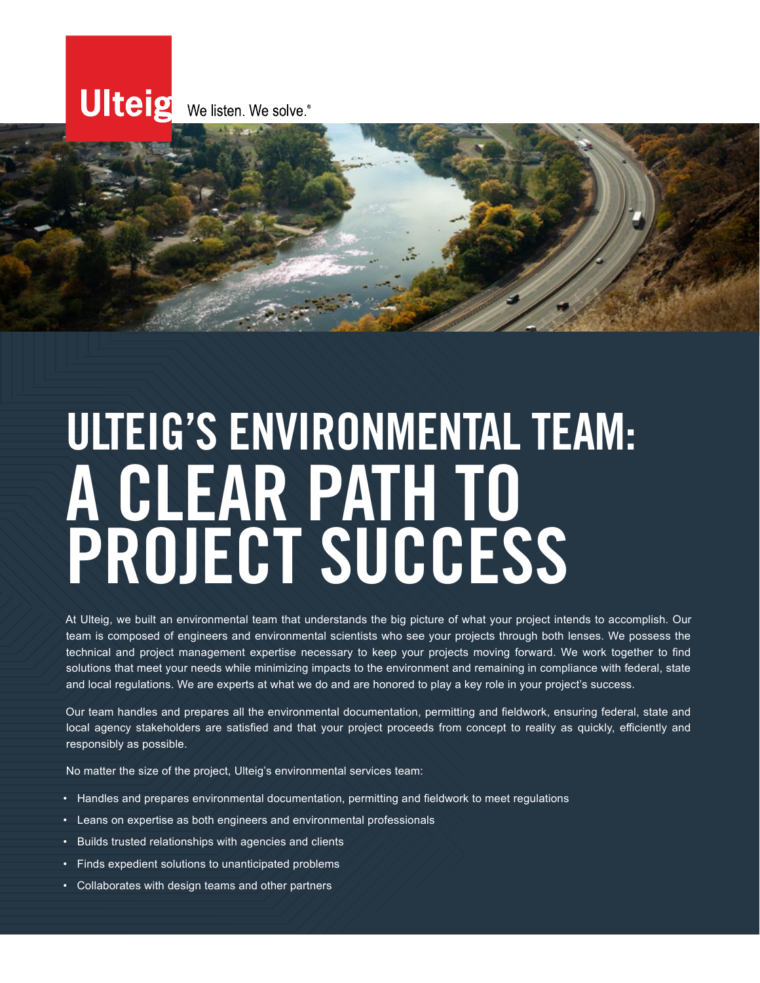

# ULTEIG'S ENVIRONMENTAL TEAM: A CLEAR PATH TO PROJECT SUCCESS

At Ulteig, we built an environmental team that understands the big picture of what your project intends to accomplish. Our team is composed of engineers and environmental scientists who see your projects through both lenses. We possess the technical and project management expertise necessary to keep your projects moving forward. We work together to find solutions that meet your needs while minimizing impacts to the environment and remaining in compliance with federal, state and local regulations. We are experts at what we do and are honored to play a key role in your project's success.

Our team handles and prepares all the environmental documentation, permitting and fieldwork, ensuring federal, state and local agency stakeholders are satisfied and that your project proceeds from concept to reality as quickly, efficiently and responsibly as possible.

No matter the size of the project, Ulteig's environmental services team:

- Handles and prepares environmental documentation, permitting and fieldwork to meet regulations
- Leans on expertise as both engineers and environmental professionals
- Builds trusted relationships with agencies and clients
- Finds expedient solutions to unanticipated problems
- Collaborates with design teams and other partners